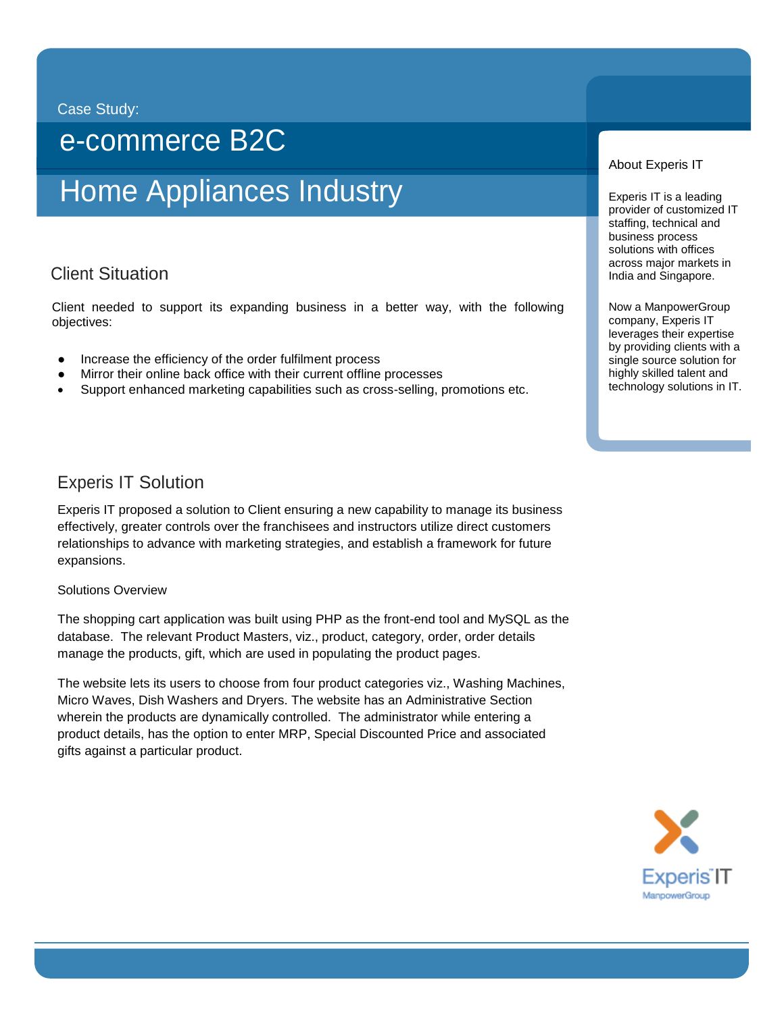#### Case Study:

## e-commerce B2C

# Home Appliances Industry

## i<br>Vita Client Situation

Client needed to support its expanding business in a better way, with the following objectives:

- Increase the efficiency of the order fulfilment process
- Mirror their online back office with their current offline processes
- Support enhanced marketing capabilities such as cross-selling, promotions etc.

### Experis IT Solution

Experis IT proposed a solution to Client ensuring a new capability to manage its business effectively, greater controls over the franchisees and instructors utilize direct customers relationships to advance with marketing strategies, and establish a framework for future expansions.

#### Solutions Overview

The shopping cart application was built using PHP as the front-end tool and MySQL as the database. The relevant Product Masters, viz., product, category, order, order details manage the products, gift, which are used in populating the product pages.

The website lets its users to choose from four product categories viz., Washing Machines, Micro Waves, Dish Washers and Dryers. The website has an Administrative Section wherein the products are dynamically controlled. The administrator while entering a product details, has the option to enter MRP, Special Discounted Price and associated gifts against a particular product.

#### About Experis IT

Experis IT is a leading provider of customized IT staffing, technical and business process solutions with offices across major markets in India and Singapore.

Now a ManpowerGroup company, Experis IT leverages their expertise by providing clients with a single source solution for highly skilled talent and technology solutions in IT.

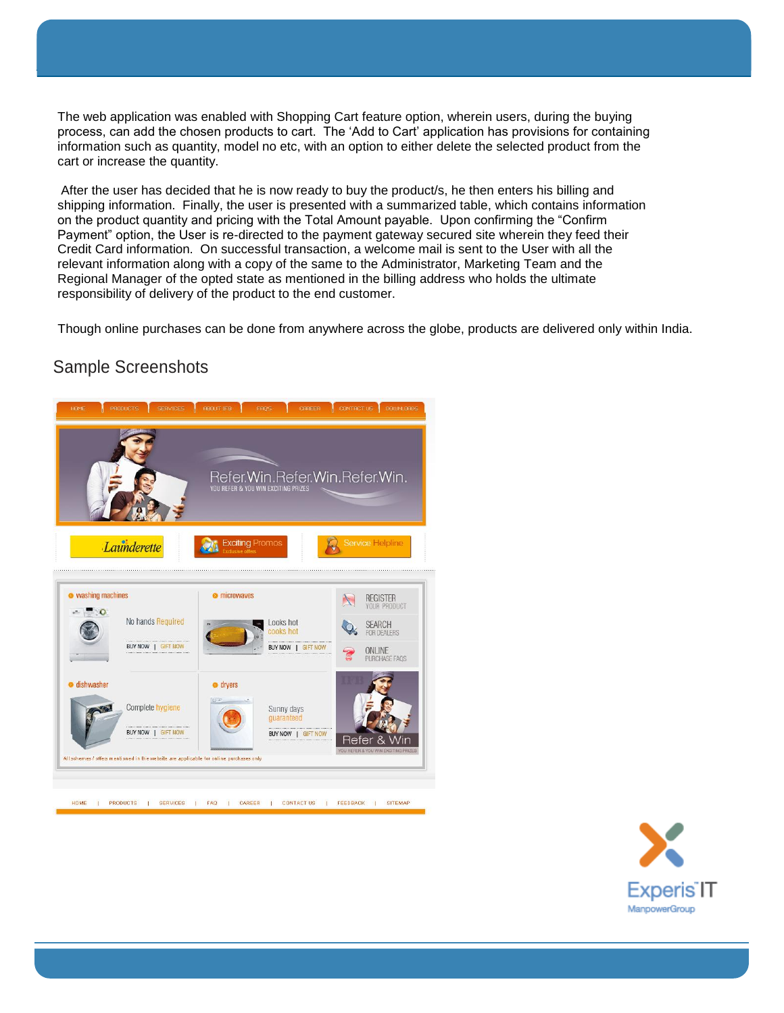The web application was enabled with Shopping Cart feature option, wherein users, during the buying process, can add the chosen products to cart. The 'Add to Cart' application has provisions for containing information such as quantity, model no etc, with an option to either delete the selected product from the cart or increase the quantity.

After the user has decided that he is now ready to buy the product/s, he then enters his billing and shipping information. Finally, the user is presented with a summarized table, which contains information on the product quantity and pricing with the Total Amount payable. Upon confirming the "Confirm Payment" option, the User is re-directed to the payment gateway secured site wherein they feed their Credit Card information. On successful transaction, a welcome mail is sent to the User with all the relevant information along with a copy of the same to the Administrator, Marketing Team and the Regional Manager of the opted state as mentioned in the billing address who holds the ultimate responsibility of delivery of the product to the end customer.

Though online purchases can be done from anywhere across the globe, products are delivered only within India.

## Sample Screenshots